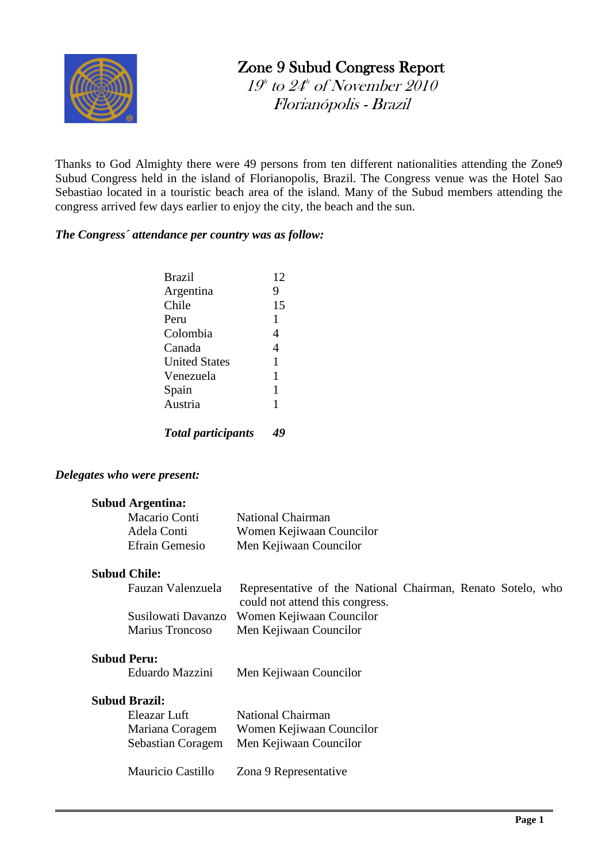

# Zone 9 Subud Congress Report

 $19^{\scriptscriptstyle\rm h}$  to  $24^{\scriptscriptstyle\rm h}$  of November 2010 Florianópolis - Brazil

Thanks to God Almighty there were 49 persons from ten different nationalities attending the Zone9 Subud Congress held in the island of Florianopolis, Brazil. The Congress venue was the Hotel Sao Sebastiao located in a touristic beach area of the island. Many of the Subud members attending the congress arrived few days earlier to enjoy the city, the beach and the sun.

#### *The Congress´ attendance per country was as follow:*

| <b>Brazil</b>             | 12 |
|---------------------------|----|
| Argentina                 | 9  |
| Chile                     | 15 |
| Peru                      | 1  |
| Colombia                  | 4  |
| Canada                    | 4  |
| <b>United States</b>      | 1  |
| Venezuela                 | 1  |
| Spain                     | 1  |
| Austria                   | 1  |
| <b>Total participants</b> |    |

#### *Delegates who were present:*

#### **Subud Argentina:**

| Macario Conti         | <b>National Chairman</b> |
|-----------------------|--------------------------|
| Adela Conti           | Women Kejiwaan Councilor |
| <b>Efrain Gemesio</b> | Men Kejiwaan Councilor   |

#### **Subud Chile:**

| Fauzan Valenzuela | Representative of the National Chairman, Renato Sotelo, who |
|-------------------|-------------------------------------------------------------|
|                   | could not attend this congress.                             |
|                   | Susilowati Davanzo Women Kejiwaan Councilor                 |
| Marius Troncoso   | Men Kejiwaan Councilor                                      |

# **Subud Peru:**

| Eduardo Mazzini | Men Kejiwaan Councilor |  |
|-----------------|------------------------|--|
|                 |                        |  |

#### **Subud Brazil:**

 $\overline{a}$ 

| Eleazar Luft      | <b>National Chairman</b> |
|-------------------|--------------------------|
| Mariana Coragem   | Women Kejiwaan Councilor |
| Sebastian Coragem | Men Kejiwaan Councilor   |
|                   |                          |

Mauricio Castillo Zona 9 Representative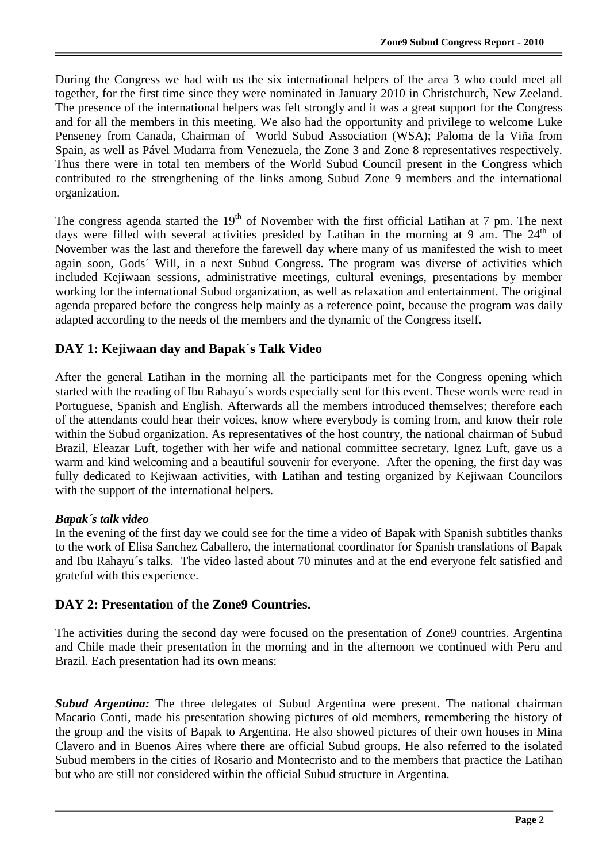During the Congress we had with us the six international helpers of the area 3 who could meet all together, for the first time since they were nominated in January 2010 in Christchurch, New Zeeland. The presence of the international helpers was felt strongly and it was a great support for the Congress and for all the members in this meeting. We also had the opportunity and privilege to welcome Luke Penseney from Canada, Chairman of World Subud Association (WSA); Paloma de la Viña from Spain, as well as Pável Mudarra from Venezuela, the Zone 3 and Zone 8 representatives respectively. Thus there were in total ten members of the World Subud Council present in the Congress which contributed to the strengthening of the links among Subud Zone 9 members and the international organization.

The congress agenda started the  $19<sup>th</sup>$  of November with the first official Latihan at 7 pm. The next days were filled with several activities presided by Latihan in the morning at 9 am. The  $24<sup>th</sup>$  of November was the last and therefore the farewell day where many of us manifested the wish to meet again soon, Gods´ Will, in a next Subud Congress. The program was diverse of activities which included Kejiwaan sessions, administrative meetings, cultural evenings, presentations by member working for the international Subud organization, as well as relaxation and entertainment. The original agenda prepared before the congress help mainly as a reference point, because the program was daily adapted according to the needs of the members and the dynamic of the Congress itself.

## **DAY 1: Kejiwaan day and Bapak´s Talk Video**

After the general Latihan in the morning all the participants met for the Congress opening which started with the reading of Ibu Rahayu´s words especially sent for this event. These words were read in Portuguese, Spanish and English. Afterwards all the members introduced themselves; therefore each of the attendants could hear their voices, know where everybody is coming from, and know their role within the Subud organization. As representatives of the host country, the national chairman of Subud Brazil, Eleazar Luft, together with her wife and national committee secretary, Ignez Luft, gave us a warm and kind welcoming and a beautiful souvenir for everyone. After the opening, the first day was fully dedicated to Kejiwaan activities, with Latihan and testing organized by Kejiwaan Councilors with the support of the international helpers.

#### *Bapak´s talk video*

 $\overline{a}$ 

In the evening of the first day we could see for the time a video of Bapak with Spanish subtitles thanks to the work of Elisa Sanchez Caballero, the international coordinator for Spanish translations of Bapak and Ibu Rahayu´s talks. The video lasted about 70 minutes and at the end everyone felt satisfied and grateful with this experience.

#### **DAY 2: Presentation of the Zone9 Countries.**

The activities during the second day were focused on the presentation of Zone9 countries. Argentina and Chile made their presentation in the morning and in the afternoon we continued with Peru and Brazil. Each presentation had its own means:

*Subud Argentina:* The three delegates of Subud Argentina were present. The national chairman Macario Conti, made his presentation showing pictures of old members, remembering the history of the group and the visits of Bapak to Argentina. He also showed pictures of their own houses in Mina Clavero and in Buenos Aires where there are official Subud groups. He also referred to the isolated Subud members in the cities of Rosario and Montecristo and to the members that practice the Latihan but who are still not considered within the official Subud structure in Argentina.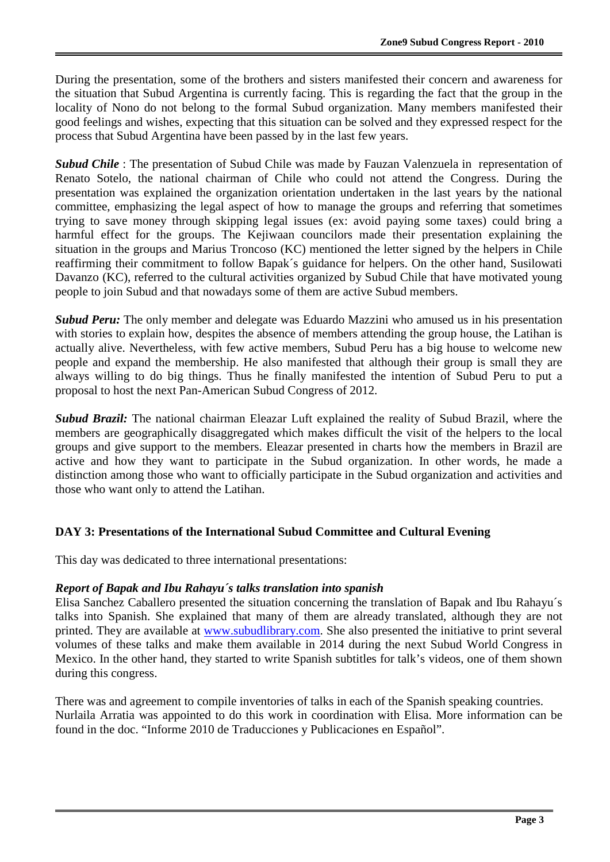During the presentation, some of the brothers and sisters manifested their concern and awareness for the situation that Subud Argentina is currently facing. This is regarding the fact that the group in the locality of Nono do not belong to the formal Subud organization. Many members manifested their good feelings and wishes, expecting that this situation can be solved and they expressed respect for the process that Subud Argentina have been passed by in the last few years.

*Subud Chile* : The presentation of Subud Chile was made by Fauzan Valenzuela in representation of Renato Sotelo, the national chairman of Chile who could not attend the Congress. During the presentation was explained the organization orientation undertaken in the last years by the national committee, emphasizing the legal aspect of how to manage the groups and referring that sometimes trying to save money through skipping legal issues (ex: avoid paying some taxes) could bring a harmful effect for the groups. The Kejiwaan councilors made their presentation explaining the situation in the groups and Marius Troncoso (KC) mentioned the letter signed by the helpers in Chile reaffirming their commitment to follow Bapak´s guidance for helpers. On the other hand, Susilowati Davanzo (KC), referred to the cultural activities organized by Subud Chile that have motivated young people to join Subud and that nowadays some of them are active Subud members.

*Subud Peru:* The only member and delegate was Eduardo Mazzini who amused us in his presentation with stories to explain how, despites the absence of members attending the group house, the Latihan is actually alive. Nevertheless, with few active members, Subud Peru has a big house to welcome new people and expand the membership. He also manifested that although their group is small they are always willing to do big things. Thus he finally manifested the intention of Subud Peru to put a proposal to host the next Pan-American Subud Congress of 2012.

*Subud Brazil:* The national chairman Eleazar Luft explained the reality of Subud Brazil, where the members are geographically disaggregated which makes difficult the visit of the helpers to the local groups and give support to the members. Eleazar presented in charts how the members in Brazil are active and how they want to participate in the Subud organization. In other words, he made a distinction among those who want to officially participate in the Subud organization and activities and those who want only to attend the Latihan.

#### **DAY 3: Presentations of the International Subud Committee and Cultural Evening**

This day was dedicated to three international presentations:

 $\overline{a}$ 

#### *Report of Bapak and Ibu Rahayu´s talks translation into spanish*

Elisa Sanchez Caballero presented the situation concerning the translation of Bapak and Ibu Rahayu´s talks into Spanish. She explained that many of them are already translated, although they are not printed. They are available at [www.subudlibrary.com.](http://www.subudlibrary.com/) She also presented the initiative to print several volumes of these talks and make them available in 2014 during the next Subud World Congress in Mexico. In the other hand, they started to write Spanish subtitles for talk's videos, one of them shown during this congress.

There was and agreement to compile inventories of talks in each of the Spanish speaking countries. Nurlaila Arratia was appointed to do this work in coordination with Elisa. More information can be found in the doc. "Informe 2010 de Traducciones y Publicaciones en Español".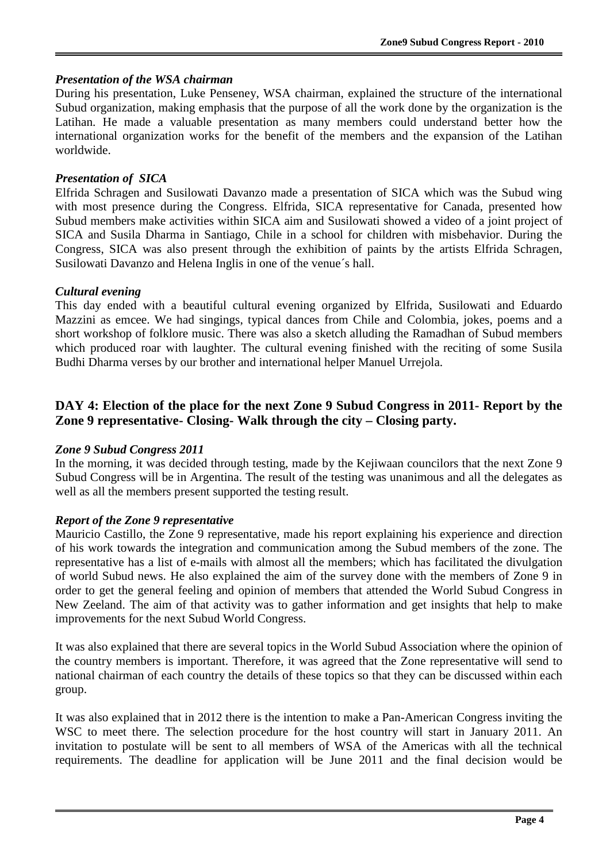#### *Presentation of the WSA chairman*

During his presentation, Luke Penseney, WSA chairman, explained the structure of the international Subud organization, making emphasis that the purpose of all the work done by the organization is the Latihan. He made a valuable presentation as many members could understand better how the international organization works for the benefit of the members and the expansion of the Latihan worldwide.

#### *Presentation of SICA*

Elfrida Schragen and Susilowati Davanzo made a presentation of SICA which was the Subud wing with most presence during the Congress. Elfrida, SICA representative for Canada, presented how Subud members make activities within SICA aim and Susilowati showed a video of a joint project of SICA and Susila Dharma in Santiago, Chile in a school for children with misbehavior. During the Congress, SICA was also present through the exhibition of paints by the artists Elfrida Schragen, Susilowati Davanzo and Helena Inglis in one of the venue´s hall.

#### *Cultural evening*

 $\overline{a}$ 

This day ended with a beautiful cultural evening organized by Elfrida, Susilowati and Eduardo Mazzini as emcee. We had singings, typical dances from Chile and Colombia, jokes, poems and a short workshop of folklore music. There was also a sketch alluding the Ramadhan of Subud members which produced roar with laughter. The cultural evening finished with the reciting of some Susila Budhi Dharma verses by our brother and international helper Manuel Urrejola.

## **DAY 4: Election of the place for the next Zone 9 Subud Congress in 2011- Report by the Zone 9 representative- Closing- Walk through the city – Closing party.**

#### *Zone 9 Subud Congress 2011*

In the morning, it was decided through testing, made by the Kejiwaan councilors that the next Zone 9 Subud Congress will be in Argentina. The result of the testing was unanimous and all the delegates as well as all the members present supported the testing result.

#### *Report of the Zone 9 representative*

Mauricio Castillo, the Zone 9 representative, made his report explaining his experience and direction of his work towards the integration and communication among the Subud members of the zone. The representative has a list of e-mails with almost all the members; which has facilitated the divulgation of world Subud news. He also explained the aim of the survey done with the members of Zone 9 in order to get the general feeling and opinion of members that attended the World Subud Congress in New Zeeland. The aim of that activity was to gather information and get insights that help to make improvements for the next Subud World Congress.

It was also explained that there are several topics in the World Subud Association where the opinion of the country members is important. Therefore, it was agreed that the Zone representative will send to national chairman of each country the details of these topics so that they can be discussed within each group.

It was also explained that in 2012 there is the intention to make a Pan-American Congress inviting the WSC to meet there. The selection procedure for the host country will start in January 2011. An invitation to postulate will be sent to all members of WSA of the Americas with all the technical requirements. The deadline for application will be June 2011 and the final decision would be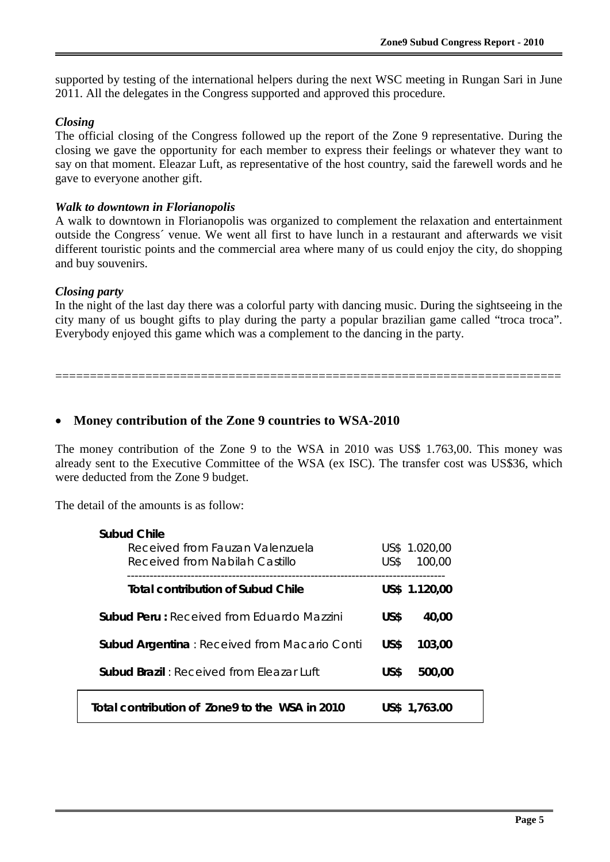supported by testing of the international helpers during the next WSC meeting in Rungan Sari in June 2011. All the delegates in the Congress supported and approved this procedure.

#### *Closing*

The official closing of the Congress followed up the report of the Zone 9 representative. During the closing we gave the opportunity for each member to express their feelings or whatever they want to say on that moment. Eleazar Luft, as representative of the host country, said the farewell words and he gave to everyone another gift.

#### *Walk to downtown in Florianopolis*

A walk to downtown in Florianopolis was organized to complement the relaxation and entertainment outside the Congress´ venue. We went all first to have lunch in a restaurant and afterwards we visit different touristic points and the commercial area where many of us could enjoy the city, do shopping and buy souvenirs.

#### *Closing party*

 $\overline{a}$ 

In the night of the last day there was a colorful party with dancing music. During the sightseeing in the city many of us bought gifts to play during the party a popular brazilian game called "troca troca". Everybody enjoyed this game which was a complement to the dancing in the party.

=========================================================================

# • **Money contribution of the Zone 9 countries to WSA-2010**

The money contribution of the Zone 9 to the WSA in 2010 was US\$ 1.763,00. This money was already sent to the Executive Committee of the WSA (ex ISC). The transfer cost was US\$36, which were deducted from the Zone 9 budget.

The detail of the amounts is as follow:

| Subud Chile                                         |                |  |
|-----------------------------------------------------|----------------|--|
| Received from Fauzan Valenzuela                     | US\$ 1.020,00  |  |
| Received from Nabilah Castillo                      | US\$<br>100,00 |  |
| <b>Total contribution of Subud Chile</b>            | US\$ 1.120,00  |  |
| <b>Subud Peru:</b> Received from Eduardo Mazzini    | US\$<br>40,00  |  |
| <b>Subud Argentina: Received from Macario Conti</b> | US\$<br>103,00 |  |
| <b>Subud Brazil:</b> Received from Fleazar Luft     | US\$<br>500,00 |  |
| Total contribution of Zone9 to the WSA in 2010      | US\$ 1,763.00  |  |